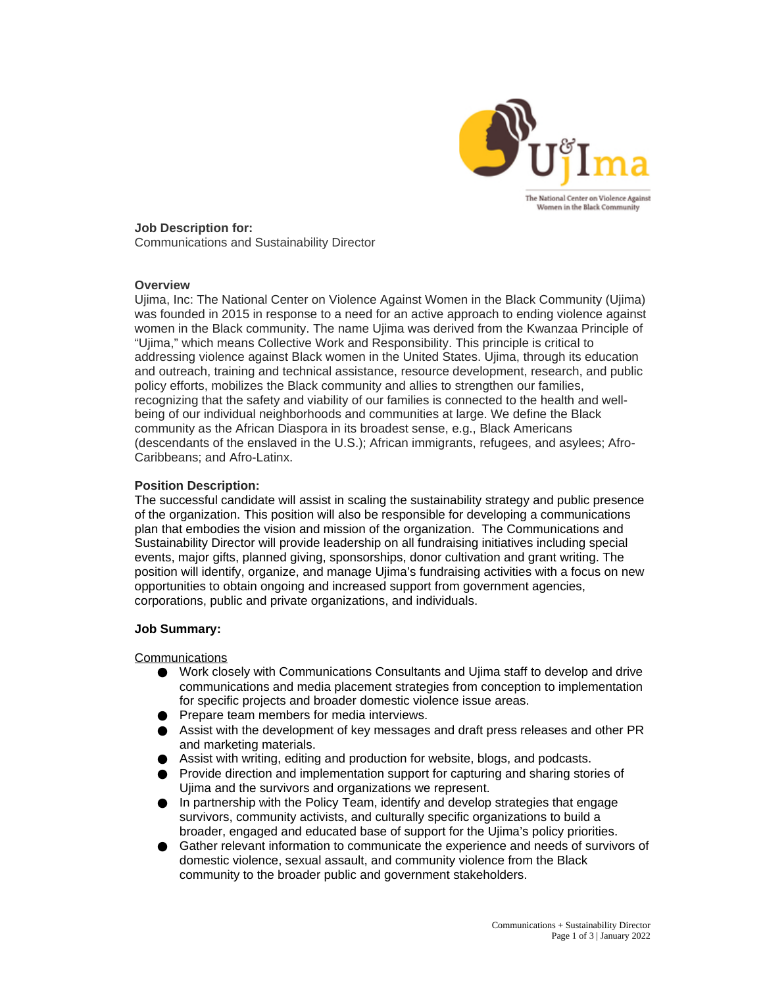

**Job Description for:** Communications and Sustainability Director

## **Overview**

Ujima, Inc: The National Center on Violence Against Women in the Black Community (Ujima) was founded in 2015 in response to a need for an active approach to ending violence against women in the Black community. The name Ujima was derived from the Kwanzaa Principle of "Ujima," which means Collective Work and Responsibility. This principle is critical to addressing violence against Black women in the United States. Ujima, through its education and outreach, training and technical assistance, resource development, research, and public policy efforts, mobilizes the Black community and allies to strengthen our families, recognizing that the safety and viability of our families is connected to the health and wellbeing of our individual neighborhoods and communities at large. We define the Black community as the African Diaspora in its broadest sense, e.g., Black Americans (descendants of the enslaved in the U.S.); African immigrants, refugees, and asylees; Afro-Caribbeans; and Afro-Latinx.

## **Position Description:**

The successful candidate will assist in scaling the sustainability strategy and public presence of the organization. This position will also be responsible for developing a communications plan that embodies the vision and mission of the organization. The Communications and Sustainability Director will provide leadership on all fundraising initiatives including special events, major gifts, planned giving, sponsorships, donor cultivation and grant writing. The position will identify, organize, and manage Ujima's fundraising activities with a focus on new opportunities to obtain ongoing and increased support from government agencies, corporations, public and private organizations, and individuals.

#### **Job Summary:**

#### **Communications**

- Work closely with Communications Consultants and Ujima staff to develop and drive communications and media placement strategies from conception to implementation for specific projects and broader domestic violence issue areas.
- Prepare team members for media interviews.
- Assist with the development of key messages and draft press releases and other PR and marketing materials.
- Assist with writing, editing and production for website, blogs, and podcasts.
- Provide direction and implementation support for capturing and sharing stories of Ujima and the survivors and organizations we represent.
- In partnership with the Policy Team, identify and develop strategies that engage survivors, community activists, and culturally specific organizations to build a broader, engaged and educated base of support for the Ujima's policy priorities.
- Gather relevant information to communicate the experience and needs of survivors of domestic violence, sexual assault, and community violence from the Black community to the broader public and government stakeholders.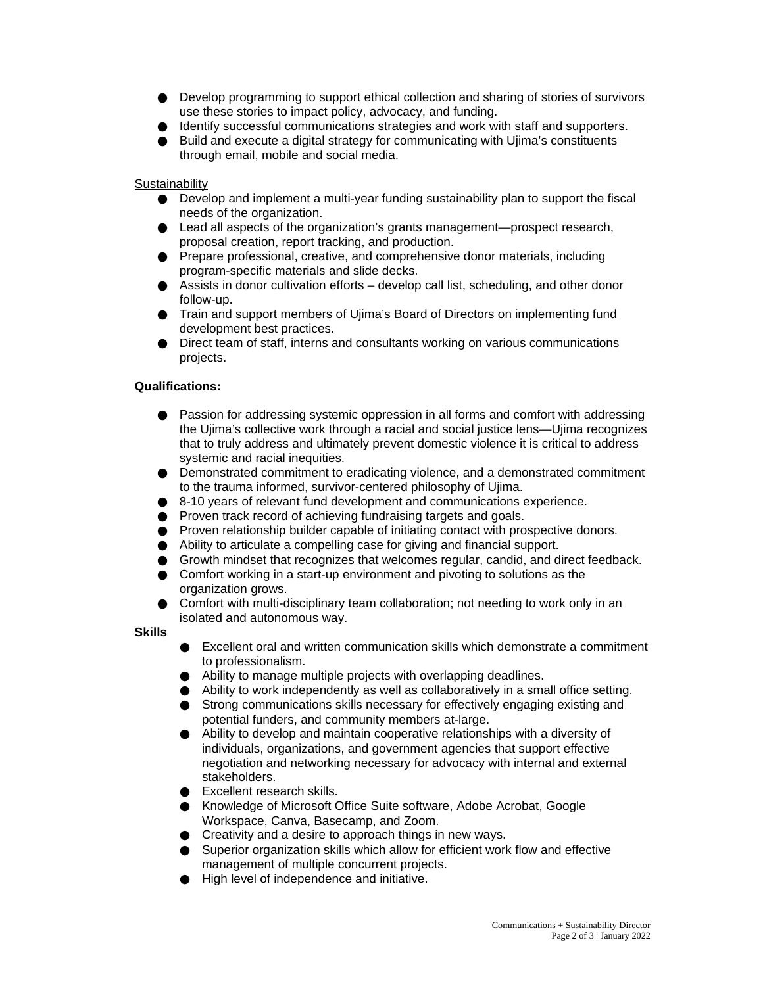- Develop programming to support ethical collection and sharing of stories of survivors use these stories to impact policy, advocacy, and funding.
- Identify successful communications strategies and work with staff and supporters.
- Build and execute a digital strategy for communicating with Ujima's constituents through email, mobile and social media.

**Sustainability** 

- $\bullet$  Develop and implement a multi-year funding sustainability plan to support the fiscal needs of the organization.
- Lead all aspects of the organization's grants management—prospect research, proposal creation, report tracking, and production.
- Prepare professional, creative, and comprehensive donor materials, including program-specific materials and slide decks.
- $\bullet$  Assists in donor cultivation efforts develop call list, scheduling, and other donor follow-up.
- Train and support members of Ujima's Board of Directors on implementing fund development best practices.
- Direct team of staff, interns and consultants working on various communications projects.

# **Qualifications:**

- Passion for addressing systemic oppression in all forms and comfort with addressing the Ujima's collective work through a racial and social justice lens—Ujima recognizes that to truly address and ultimately prevent domestic violence it is critical to address systemic and racial inequities.
- Demonstrated commitment to eradicating violence, and a demonstrated commitment to the trauma informed, survivor-centered philosophy of Ujima.
- 8-10 years of relevant fund development and communications experience.
- Proven track record of achieving fundraising targets and goals.
- Proven relationship builder capable of initiating contact with prospective donors.
- Ability to articulate a compelling case for giving and financial support.
- Growth mindset that recognizes that welcomes regular, candid, and direct feedback.
- Comfort working in a start-up environment and pivoting to solutions as the organization grows.
- Comfort with multi-disciplinary team collaboration; not needing to work only in an isolated and autonomous way.

**Skills**

- Excellent oral and written communication skills which demonstrate a commitment to professionalism.
- Ability to manage multiple projects with overlapping deadlines.
- $\bullet$  Ability to work independently as well as collaboratively in a small office setting.
- Strong communications skills necessary for effectively engaging existing and potential funders, and community members at-large.
- Ability to develop and maintain cooperative relationships with a diversity of individuals, organizations, and government agencies that support effective negotiation and networking necessary for advocacy with internal and external stakeholders.
- Excellent research skills.
- Knowledge of Microsoft Office Suite software, Adobe Acrobat, Google Workspace, Canva, Basecamp, and Zoom.
- Creativity and a desire to approach things in new ways.
- Superior organization skills which allow for efficient work flow and effective management of multiple concurrent projects.
- High level of independence and initiative.